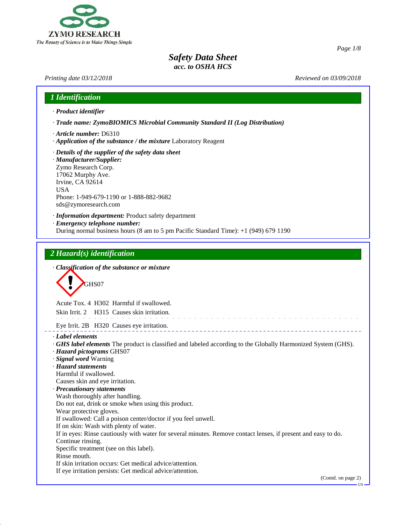

*Printing date 03/12/2018 Reviewed on 03/09/2018*

46.0

*Page 1/8*

# *1 Identification* · *Product identifier* · *Trade name: ZymoBIOMICS Microbial Community Standard II (Log Distribution)* · *Article number:* D6310 · *Application of the substance / the mixture* Laboratory Reagent · *Details of the supplier of the safety data sheet* · *Manufacturer/Supplier:* Zymo Research Corp. 17062 Murphy Ave. Irvine, CA 92614 USA Phone: 1-949-679-1190 or 1-888-882-9682 sds@zymoresearch.com · *Information department:* Product safety department · *Emergency telephone number:* During normal business hours (8 am to 5 pm Pacific Standard Time): +1 (949) 679 1190 *2 Hazard(s) identification* · *Classification of the substance or mixture* GHS07 Acute Tox. 4 H302 Harmful if swallowed. Skin Irrit. 2 H315 Causes skin irritation. Eye Irrit. 2B H320 Causes eye irritation. · *Label elements* · *GHS label elements* The product is classified and labeled according to the Globally Harmonized System (GHS). · *Hazard pictograms* GHS07 · *Signal word* Warning · *Hazard statements* Harmful if swallowed. Causes skin and eye irritation. · *Precautionary statements* Wash thoroughly after handling. Do not eat, drink or smoke when using this product. Wear protective gloves. If swallowed: Call a poison center/doctor if you feel unwell. If on skin: Wash with plenty of water. If in eyes: Rinse cautiously with water for several minutes. Remove contact lenses, if present and easy to do. Continue rinsing. Specific treatment (see on this label). Rinse mouth. If skin irritation occurs: Get medical advice/attention. If eye irritation persists: Get medical advice/attention. (Contd. on page 2)

US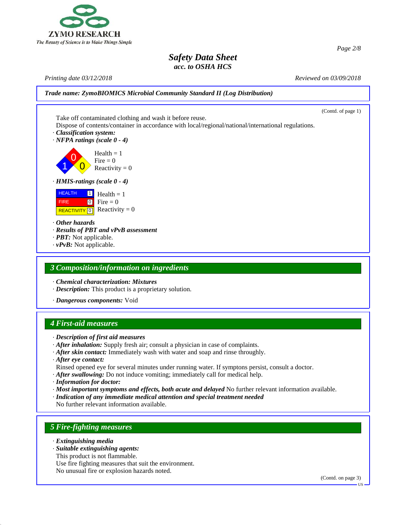

*Printing date 03/12/2018 Reviewed on 03/09/2018*

(Contd. of page 1)

*Trade name: ZymoBIOMICS Microbial Community Standard II (Log Distribution)*

Take off contaminated clothing and wash it before reuse.

Dispose of contents/container in accordance with local/regional/national/international regulations.

· *Classification system:*

· *NFPA ratings (scale 0 - 4)*

 $\left| \begin{array}{c} 1 \\ 0 \end{array} \right|$  Reactivity = 0  $\text{Fire} = 0$  $Health = 1$ 

#### · *HMIS-ratings (scale 0 - 4)*



· *Other hazards*

- · *Results of PBT and vPvB assessment*
- · *PBT:* Not applicable.
- · *vPvB:* Not applicable.

### *3 Composition/information on ingredients*

· *Chemical characterization: Mixtures*

· *Description:* This product is a proprietary solution.

· *Dangerous components:* Void

## *4 First-aid measures*

- · *After inhalation:* Supply fresh air; consult a physician in case of complaints.
- · *After skin contact:* Immediately wash with water and soap and rinse throughly.
- · *After eye contact:*
- Rinsed opened eye for several minutes under running water. If symptons persist, consult a doctor.
- · *After swallowing:* Do not induce vomiting; immediately call for medical help.
- · *Information for doctor:*
- · *Most important symptoms and effects, both acute and delayed* No further relevant information available.
- · *Indication of any immediate medical attention and special treatment needed*

No further relevant information available.

## *5 Fire-fighting measures*

· *Extinguishing media*

46.0

- · *Suitable extinguishing agents:*
- This product is not flammable.
- Use fire fighting measures that suit the environment.

No unusual fire or explosion hazards noted.

(Contd. on page 3)

#### *Page 2/8*

<sup>·</sup> *Description of first aid measures*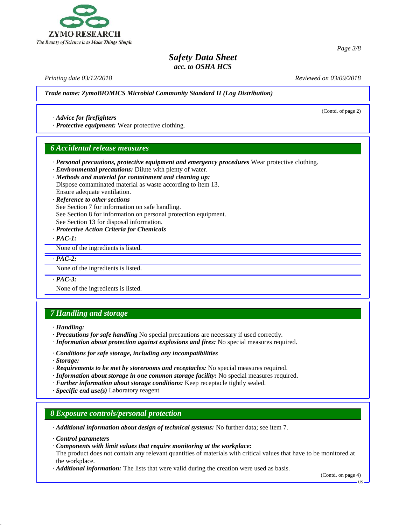

*Printing date 03/12/2018 Reviewed on 03/09/2018*

(Contd. of page 2)

*Trade name: ZymoBIOMICS Microbial Community Standard II (Log Distribution)*

· *Advice for firefighters*

· *Protective equipment:* Wear protective clothing.

### *6 Accidental release measures*

- · *Personal precautions, protective equipment and emergency procedures* Wear protective clothing.
- · *Environmental precautions:* Dilute with plenty of water.
- · *Methods and material for containment and cleaning up:* Dispose contaminated material as waste according to item 13. Ensure adequate ventilation.
- · *Reference to other sections*

See Section 7 for information on safe handling.

- See Section 8 for information on personal protection equipment.
- See Section 13 for disposal information.
- · *Protective Action Criteria for Chemicals*
- · *PAC-1:*

None of the ingredients is listed.

· *PAC-2:*

None of the ingredients is listed.

· *PAC-3:*

None of the ingredients is listed.

## *7 Handling and storage*

· *Handling:*

- · *Precautions for safe handling* No special precautions are necessary if used correctly.
- · *Information about protection against explosions and fires:* No special measures required.
- · *Conditions for safe storage, including any incompatibilities*
- · *Storage:*
- · *Requirements to be met by storerooms and receptacles:* No special measures required.
- · *Information about storage in one common storage facility:* No special measures required.
- · *Further information about storage conditions:* Keep receptacle tightly sealed.
- · *Specific end use(s)* Laboratory reagent

### *8 Exposure controls/personal protection*

· *Additional information about design of technical systems:* No further data; see item 7.

· *Control parameters*

46.0

· *Components with limit values that require monitoring at the workplace:*

The product does not contain any relevant quantities of materials with critical values that have to be monitored at the workplace.

· *Additional information:* The lists that were valid during the creation were used as basis.

(Contd. on page 4)

#### *Page 3/8*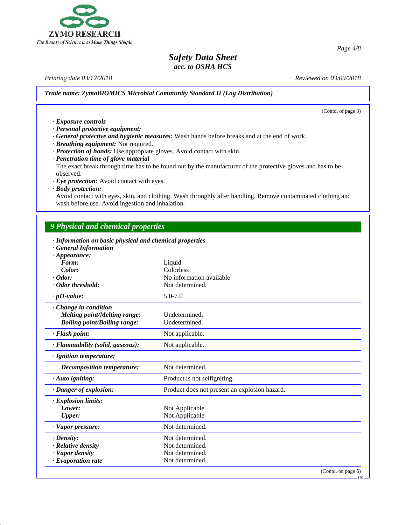

*Printing date 03/12/2018 Reviewed on 03/09/2018*

*Trade name: ZymoBIOMICS Microbial Community Standard II (Log Distribution)*

(Contd. of page 3)

· *Exposure controls*

· *Personal protective equipment:*

· *General protective and hygienic measures:* Wash hands before breaks and at the end of work.

· *Breathing equipment:* Not required.

· *Protection of hands:* Use appropiate gloves. Avoid contact with skin.

· *Penetration time of glove material*

The exact break through time has to be found out by the manufacturer of the protective gloves and has to be observed.

· *Eye protection:* Avoid contact with eyes.

· *Body protection:*

46.0

Avoid contact with eyes, skin, and clothing. Wash throughly after handling. Remove contaminated clothing and wash before use. Avoid ingestion and inhalation.

## *9 Physical and chemical properties*

| · Information on basic physical and chemical properties |                                               |                    |
|---------------------------------------------------------|-----------------------------------------------|--------------------|
| <b>General Information</b>                              |                                               |                    |
| $\cdot$ Appearance:                                     |                                               |                    |
| Form:                                                   | Liquid                                        |                    |
| Color:                                                  | Colorless                                     |                    |
| $\cdot$ Odor:                                           | No information available                      |                    |
| Odor threshold:                                         | Not determined.                               |                    |
| $\cdot$ pH-value:                                       | $5.0 - 7.0$                                   |                    |
| Change in condition                                     |                                               |                    |
| <b>Melting point/Melting range:</b>                     | Undetermined.                                 |                    |
| <b>Boiling point/Boiling range:</b>                     | Undetermined.                                 |                    |
| · Flash point:                                          | Not applicable.                               |                    |
| · Flammability (solid, gaseous):                        | Not applicable.                               |                    |
| · Ignition temperature:                                 |                                               |                    |
| <b>Decomposition temperature:</b>                       | Not determined.                               |                    |
| $\cdot$ Auto igniting:                                  | Product is not selfigniting.                  |                    |
| · Danger of explosion:                                  | Product does not present an explosion hazard. |                    |
| <b>Explosion limits:</b>                                |                                               |                    |
| Lower:                                                  | Not Applicable                                |                    |
| <b>Upper:</b>                                           | Not Applicable                                |                    |
| · Vapor pressure:                                       | Not determined.                               |                    |
| $\cdot$ Density:                                        | Not determined.                               |                    |
| · Relative density                                      | Not determined.                               |                    |
| · Vapor density                                         | Not determined.                               |                    |
| · Evaporation rate                                      | Not determined.                               |                    |
|                                                         |                                               | (Contd. on page 5) |
|                                                         |                                               | $\cdot$ US $-$     |

*Page 4/8*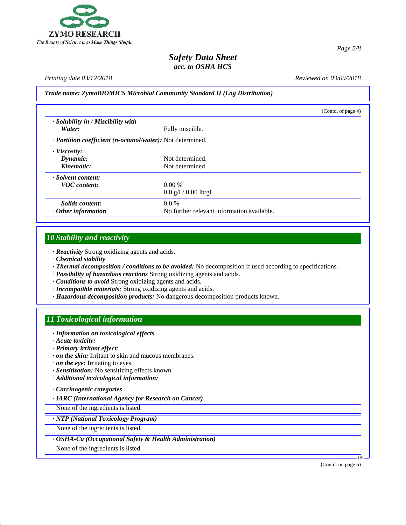

*Printing date 03/12/2018 Reviewed on 03/09/2018*

*Trade name: ZymoBIOMICS Microbial Community Standard II (Log Distribution)*

|                                                            |                                            | (Contd. of page 4) |
|------------------------------------------------------------|--------------------------------------------|--------------------|
| $\cdot$ Solubility in / Miscibility with                   |                                            |                    |
| Water:                                                     | Fully miscible.                            |                    |
| · Partition coefficient (n-octanol/water): Not determined. |                                            |                    |
| · Viscosity:                                               |                                            |                    |
| Dynamic:                                                   | Not determined.                            |                    |
| Kinematic:                                                 | Not determined.                            |                    |
| · Solvent content:                                         |                                            |                    |
| <b>VOC</b> content:                                        | $0.00\%$                                   |                    |
|                                                            | $0.0 \frac{g}{1} / 0.00 \frac{g}{g}$       |                    |
| Solids content:                                            | $0.0\%$                                    |                    |
| $\cdot$ Other information                                  | No further relevant information available. |                    |

### *10 Stability and reactivity*

· *Reactivity* Strong oxidizing agents and acids.

- · *Chemical stability*
- · *Thermal decomposition / conditions to be avoided:* No decomposition if used according to specifications.
- · *Possibility of hazardous reactions* Strong oxidizing agents and acids.
- · *Conditions to avoid* Strong oxidizing agents and acids.
- · *Incompatible materials:* Strong oxidizing agents and acids.
- · *Hazardous decomposition products:* No dangerous decomposition products known.

## *11 Toxicological information*

- · *Information on toxicological effects*
- · *Acute toxicity:*

46.0

- · *Primary irritant effect:*
- · *on the skin:* Irritant to skin and mucous membranes.
- · *on the eye:* Irritating to eyes.
- · *Sensitization:* No sensitizing effects known.
- · *Additional toxicological information:*

#### · *Carcinogenic categories*

· *IARC (International Agency for Research on Cancer)*

None of the ingredients is listed.

· *NTP (National Toxicology Program)*

None of the ingredients is listed.

#### · *OSHA-Ca (Occupational Safety & Health Administration)*

None of the ingredients is listed.

(Contd. on page 6)

US

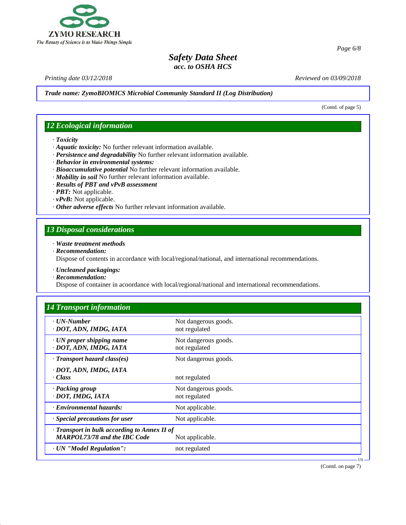

*Printing date 03/12/2018 Reviewed on 03/09/2018*

*Trade name: ZymoBIOMICS Microbial Community Standard II (Log Distribution)*

(Contd. of page 5)

### *12 Ecological information*

- · *Toxicity*
- · *Aquatic toxicity:* No further relevant information available.
- · *Persistence and degradability* No further relevant information available.
- · *Behavior in environmental systems:*
- · *Bioaccumulative potential* No further relevant information available.
- · *Mobility in soil* No further relevant information available.
- · *Results of PBT and vPvB assessment*
- · *PBT:* Not applicable.
- · *vPvB:* Not applicable.
- · *Other adverse effects* No further relevant information available.

### *13 Disposal considerations*

- · *Waste treatment methods*
- · *Recommendation:*

Dispose of contents in accordance with local/regional/national, and international recommendations.

- · *Uncleaned packagings:*
- · *Recommendation:*

46.0

Dispose of container in acoordance with local/regional/national and international recommendations.

| <b>14 Transport information</b>                                                           |                                       |
|-------------------------------------------------------------------------------------------|---------------------------------------|
| $\cdot$ UN-Number<br>· DOT, ADN, IMDG, IATA                                               | Not dangerous goods.<br>not regulated |
| $\cdot$ UN proper shipping name<br>· DOT, ADN, IMDG, IATA                                 | Not dangerous goods.<br>not regulated |
| $\cdot$ Transport hazard class(es)                                                        | Not dangerous goods.                  |
| · DOT, ADN, IMDG, IATA<br>- Class                                                         | not regulated                         |
| · Packing group<br>· DOT, IMDG, IATA                                                      | Not dangerous goods.<br>not regulated |
| · Environmental hazards:                                                                  | Not applicable.                       |
| Special precautions for user                                                              | Not applicable.                       |
| $\cdot$ Transport in bulk according to Annex II of<br><b>MARPOL73/78 and the IBC Code</b> | Not applicable.                       |
| · UN "Model Regulation":                                                                  | not regulated                         |

(Contd. on page 7)

 $\overline{US}$   $\longrightarrow$ 

*Page 6/8*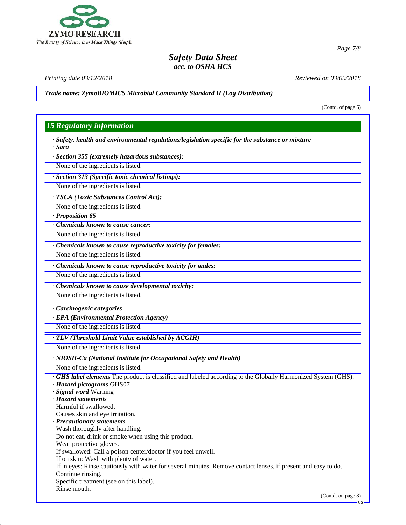

*Printing date 03/12/2018 Reviewed on 03/09/2018*

46.0

*Trade name: ZymoBIOMICS Microbial Community Standard II (Log Distribution)*

(Contd. of page 6)

*Page 7/8*

# *15 Regulatory information* · *Safety, health and environmental regulations/legislation specific for the substance or mixture* · *Sara* · *Section 355 (extremely hazardous substances):* None of the ingredients is listed. · *Section 313 (Specific toxic chemical listings):* None of the ingredients is listed. · *TSCA (Toxic Substances Control Act):* None of the ingredients is listed. · *Proposition 65* · *Chemicals known to cause cancer:* None of the ingredients is listed. · *Chemicals known to cause reproductive toxicity for females:* None of the ingredients is listed. · *Chemicals known to cause reproductive toxicity for males:* None of the ingredients is listed. · *Chemicals known to cause developmental toxicity:* None of the ingredients is listed. · *Carcinogenic categories* · *EPA (Environmental Protection Agency)* None of the ingredients is listed. · *TLV (Threshold Limit Value established by ACGIH)* None of the ingredients is listed. · *NIOSH-Ca (National Institute for Occupational Safety and Health)* None of the ingredients is listed. · *GHS label elements* The product is classified and labeled according to the Globally Harmonized System (GHS). · *Hazard pictograms* GHS07 · *Signal word* Warning · *Hazard statements* Harmful if swallowed. Causes skin and eye irritation. · *Precautionary statements* Wash thoroughly after handling. Do not eat, drink or smoke when using this product. Wear protective gloves. If swallowed: Call a poison center/doctor if you feel unwell. If on skin: Wash with plenty of water. If in eyes: Rinse cautiously with water for several minutes. Remove contact lenses, if present and easy to do. Continue rinsing. Specific treatment (see on this label). Rinse mouth.